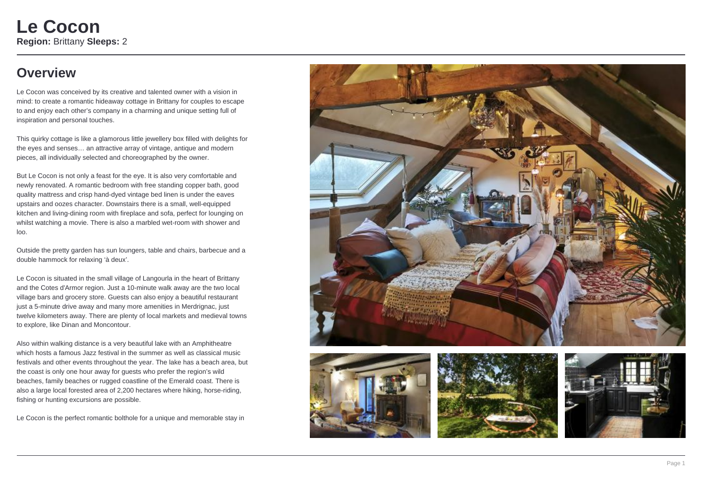## **Overview**

Le Cocon was conceived by its creative and talented owner with a vision in mind: to create a romantic hideaway cottage in Brittany for couples to escape to and enjoy each other's company in a charming and unique setting full of inspiration and personal touches.

This quirky cottage is like a glamorous little jewellery box filled with delights for the eyes and senses… an attractive array of vintage, antique and modern pieces, all individually selected and choreographed by the owner.

But Le Cocon is not only a feast for the eye. It is also very comfortable and newly renovated. A romantic bedroom with free standing copper bath, good quality mattress and crisp hand-dyed vintage bed linen is under the eaves upstairs and oozes character. Downstairs there is a small, well-equipped kitchen and living-dining room with fireplace and sofa, perfect for lounging on whilst watching a movie. There is also a marbled wet-room with shower and loo.

Outside the pretty garden has sun loungers, table and chairs, barbecue and a double hammock for relaxing 'à deux'.

Le Cocon is situated in the small village of Langourla in the heart of Brittany and the Cotes d'Armor region. Just a 10-minute walk away are the two local village bars and grocery store. Guests can also enjoy a beautiful restaurant just a 5-minute drive away and many more amenities in Merdrignac, just twelve kilometers away. There are plenty of local markets and medieval towns to explore, like Dinan and Moncontour.

Also within walking distance is a very beautiful lake with an Amphitheatre which hosts a famous Jazz festival in the summer as well as classical music festivals and other events throughout the year. The lake has a beach area, but the coast is only one hour away for guests who prefer the region's wild beaches, family beaches or rugged coastline of the Emerald coast. There is also a large local forested area of 2,200 hectares where hiking, horse-riding, fishing or hunting excursions are possible.

Le Cocon is the perfect romantic bolthole for a unique and memorable stay in







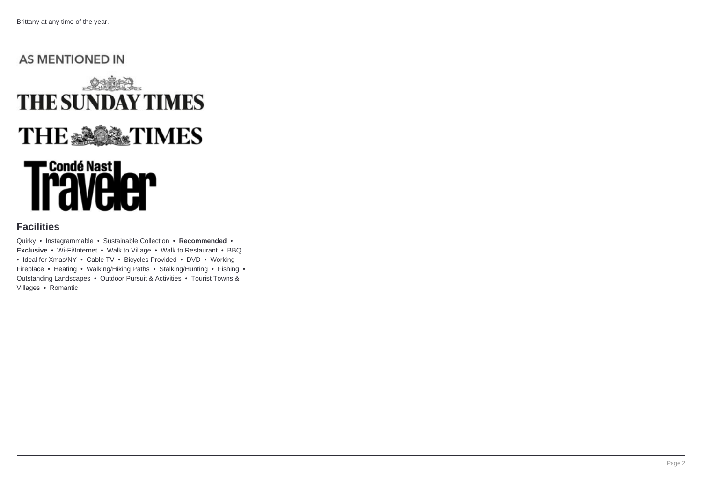## **AS MENTIONED IN**



# **TCondé Nast<br>I avelon**

### **Facilities**

Quirky • Instagrammable • Sustainable Collection • **Recommended** • **Exclusive** • Wi-Fi/Internet • Walk to Village • Walk to Restaurant • BBQ • Ideal for Xmas/NY • Cable TV • Bicycles Provided • DVD • Working Fireplace • Heating • Walking/Hiking Paths • Stalking/Hunting • Fishing • Outstanding Landscapes • Outdoor Pursuit & Activities • Tourist Towns & Villages • Romantic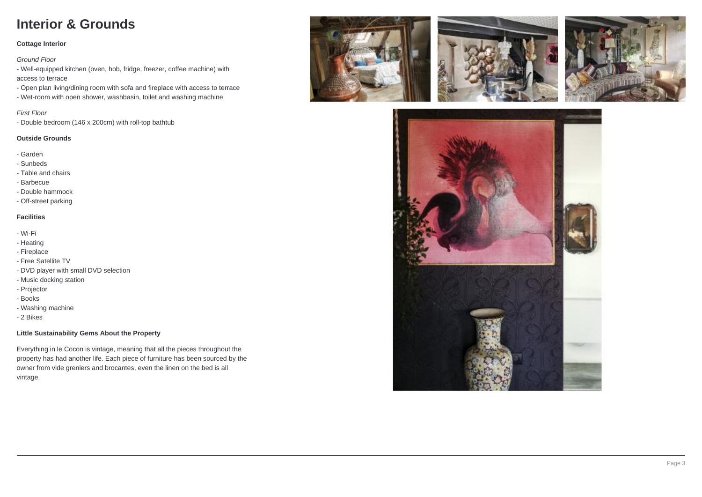# **Interior & Grounds**

#### **Cottage Interior**

#### Ground Floor

- Well-equipped kitchen (oven, hob, fridge, freezer, coffee machine) with access to terrace

- Open plan living/dining room with sofa and fireplace with access to terrace

- Wet-room with open shower, washbasin, toilet and washing machine

#### First Floor

- Double bedroom (146 x 200cm) with roll-top bathtub

#### **Outside Grounds**

- Garden
- Sunbeds
- Table and chairs
- Barbecue
- Double hammock
- Off-street parking

#### **Facilities**

- Wi-Fi
- Heating
- Fireplace
- Free Satellite TV
- DVD player with small DVD selection
- Music docking station
- Projector
- Books
- Washing machine
- 2 Bikes

#### **Little Sustainability Gems About the Property**

Everything in le Cocon is vintage, meaning that all the pieces throughout the property has had another life. Each piece of furniture has been sourced by the owner from vide greniers and brocantes, even the linen on the bed is all vintage.







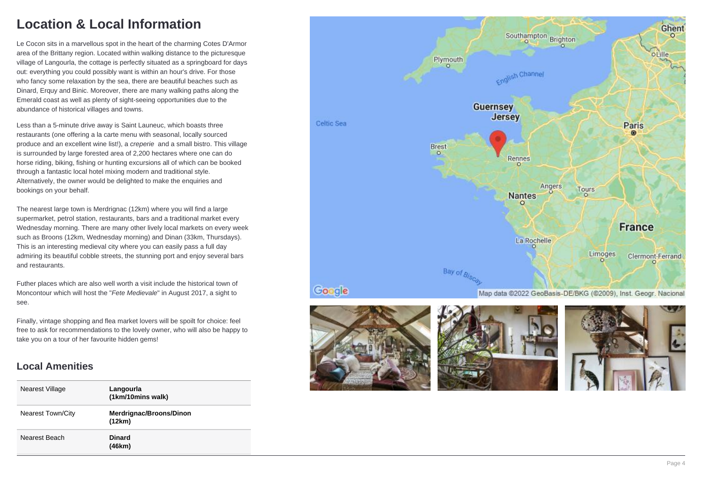## **Location & Local Information**

Le Cocon sits in a marvellous spot in the heart of the charming Cotes D'Armor area of the Brittany region. Located within walking distance to the picturesque village of Langourla, the cottage is perfectly situated as a springboard for days out: everything you could possibly want is within an hour's drive. For those who fancy some relaxation by the sea, there are beautiful beaches such as Dinard, Erguy and Binic. Moreover, there are many walking paths along the Emerald coast as well as plenty of sight-seeing opportunities due to the abundance of historical villages and towns.

Less than a 5-minute drive away is Saint Launeuc, which boasts three restaurants (one offering a la carte menu with seasonal, locally sourced produce and an excellent wine list!), a creperie and a small bistro. This village is surrounded by large forested area of 2,200 hectares where one can do horse riding, biking, fishing or hunting excursions all of which can be booked through a fantastic local hotel mixing modern and traditional style. Alternatively, the owner would be delighted to make the enquiries and bookings on your behalf.

The nearest large town is Merdrignac (12km) where you will find a large supermarket, petrol station, restaurants, bars and a traditional market every Wednesday morning. There are many other lively local markets on every week such as Broons (12km, Wednesday morning) and Dinan (33km, Thursdays). This is an interesting medieval city where you can easily pass a full day admiring its beautiful cobble streets, the stunning port and enjoy several bars and restaurants.

Futher places which are also well worth a visit include the historical town of Moncontour which will host the "Fete Medievale" in August 2017, a sight to see.

Finally, vintage shopping and flea market lovers will be spoilt for choice: feel free to ask for recommendations to the lovely owner, who will also be happy to take you on a tour of her favourite hidden gems!

## **Local Amenities**

| Nearest Village          | Langourla<br>(1km/10mins walk)    |
|--------------------------|-----------------------------------|
| <b>Nearest Town/City</b> | Merdrignac/Broons/Dinon<br>(12km) |
| Nearest Beach            | <b>Dinard</b><br>(46km)           |







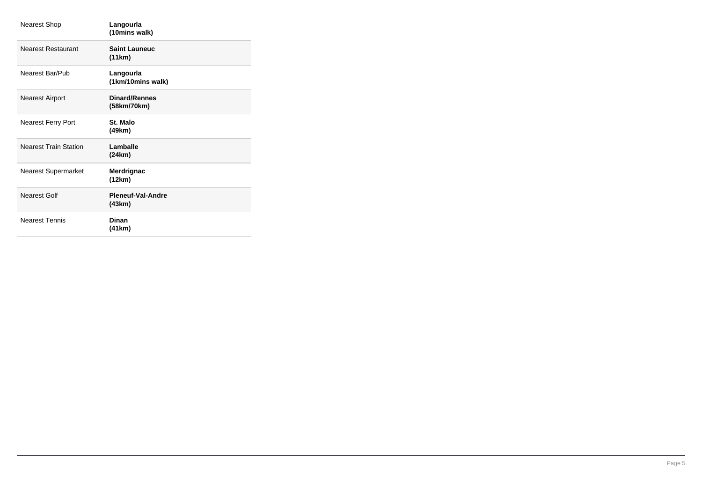| <b>Nearest Shop</b>          | Langourla<br>(10mins walk)          |
|------------------------------|-------------------------------------|
| <b>Nearest Restaurant</b>    | <b>Saint Launeuc</b><br>(11km)      |
| Nearest Bar/Pub              | Langourla<br>(1km/10mins walk)      |
| <b>Nearest Airport</b>       | <b>Dinard/Rennes</b><br>(58km/70km) |
| <b>Nearest Ferry Port</b>    | St. Malo<br>(49km)                  |
| <b>Nearest Train Station</b> | Lamballe<br>(24km)                  |
| Nearest Supermarket          | Merdrignac<br>(12km)                |
| <b>Nearest Golf</b>          | Pleneuf-Val-Andre<br>(43km)         |
| <b>Nearest Tennis</b>        | Dinan<br>(41 km)                    |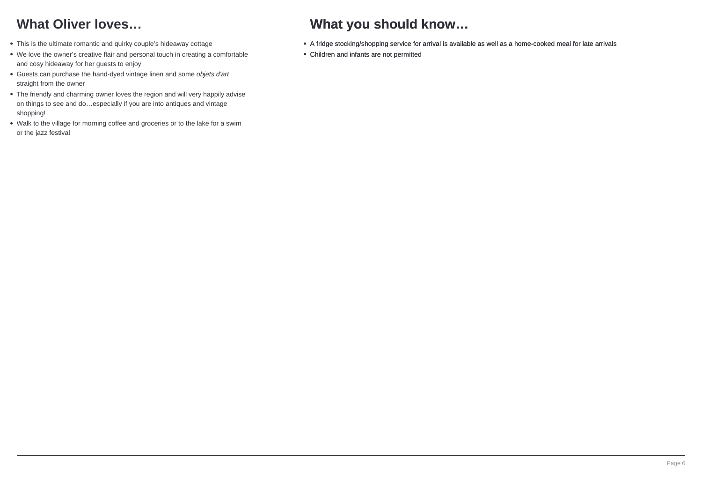# **What Oliver loves…**

- This is the ultimate romantic and quirky couple's hideaway cottage
- We love the owner's creative flair and personal touch in creating a comfortable and cosy hideaway for her guests to enjoy
- Guests can purchase the hand-dyed vintage linen and some objets d'art straight from the owner
- The friendly and charming owner loves the region and will very happily advise on things to see and do…especially if you are into antiques and vintage shopping!
- Walk to the village for morning coffee and groceries or to the lake for a swim or the jazz festival

## **What you should know…**

- A fridge stocking/shopping service for arrival is available as well as a home-cooked meal for late arrivals
- Children and infants are not permitted